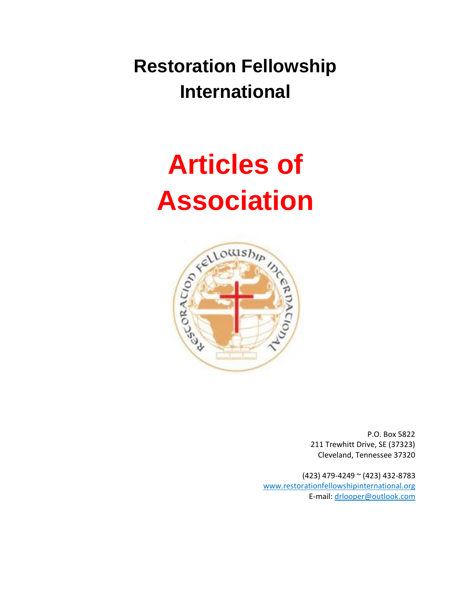**Restoration Fellowship International**

# **Articles of**



P.O. Box 5822 211 Trewhitt Drive, SE (37323) Cleveland, Tennessee 37320

(423) 479-4249 ~ (423) 432-8783 www.restorationfellowshipinternational.org E-mail: drlooper@outlook.com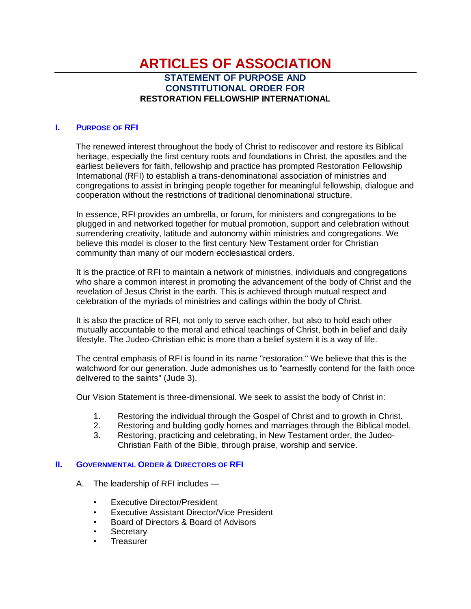### **ARTICLES OF ASSOCIATION STATEMENT OF PURPOSE AND CONSTITUTIONAL ORDER FOR RESTORATION FELLOWSHIP INTERNATIONAL**

#### **I. PURPOSE OF RFI**

The renewed interest throughout the body of Christ to rediscover and restore its Biblical heritage, especially the first century roots and foundations in Christ, the apostles and the earliest believers for faith, fellowship and practice has prompted Restoration Fellowship International (RFI) to establish a trans-denominational association of ministries and congregations to assist in bringing people together for meaningful fellowship, dialogue and cooperation without the restrictions of traditional denominational structure.

In essence, RFI provides an umbrella, or forum, for ministers and congregations to be plugged in and networked together for mutual promotion, support and celebration without surrendering creativity, latitude and autonomy within ministries and congregations. We believe this model is closer to the first century New Testament order for Christian community than many of our modern ecclesiastical orders.

It is the practice of RFI to maintain a network of ministries, individuals and congregations who share a common interest in promoting the advancement of the body of Christ and the revelation of Jesus Christ in the earth. This is achieved through mutual respect and celebration of the myriads of ministries and callings within the body of Christ.

It is also the practice of RFI, not only to serve each other, but also to hold each other mutually accountable to the moral and ethical teachings of Christ, both in belief and daily lifestyle. The Judeo-Christian ethic is more than a belief system it is a way of life.

The central emphasis of RFI is found in its name "restoration." We believe that this is the watchword for our generation. Jude admonishes us to "earnestly contend for the faith once delivered to the saints" (Jude 3).

Our Vision Statement is three-dimensional. We seek to assist the body of Christ in:

- 1. Restoring the individual through the Gospel of Christ and to growth in Christ.
- 2. Restoring and building godly homes and marriages through the Biblical model.
- 3. Restoring, practicing and celebrating, in New Testament order, the Judeo-Christian Faith of the Bible, through praise, worship and service.

#### **II. GOVERNMENTAL ORDER & DIRECTORS OF RFI**

- A. The leadership of RFI includes
	- Executive Director/President
	- Executive Assistant Director/Vice President
	- Board of Directors & Board of Advisors
	- **Secretary**
	- **Treasurer**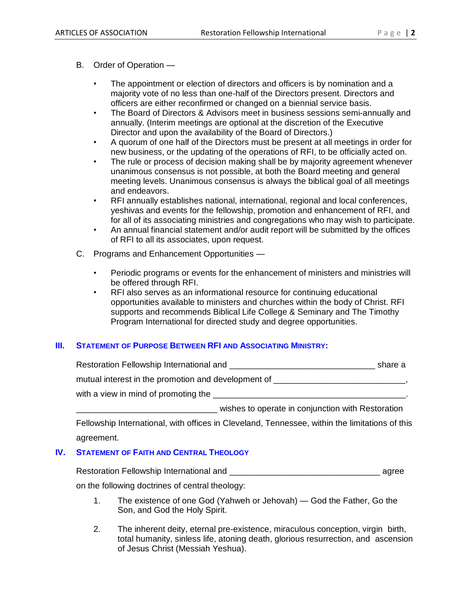- The appointment or election of directors and officers is by nomination and a majority vote of no less than one-half of the Directors present. Directors and officers are either reconfirmed or changed on a biennial service basis.
- The Board of Directors & Advisors meet in business sessions semi-annually and annually. (Interim meetings are optional at the discretion of the Executive Director and upon the availability of the Board of Directors.)
- A quorum of one half of the Directors must be present at all meetings in order for new business, or the updating of the operations of RFI, to be officially acted on.
- The rule or process of decision making shall be by majority agreement whenever unanimous consensus is not possible, at both the Board meeting and general meeting levels. Unanimous consensus is always the biblical goal of all meetings and endeavors.
- RFI annually establishes national, international, regional and local conferences, yeshivas and events for the fellowship, promotion and enhancement of RFI, and for all of its associating ministries and congregations who may wish to participate.
- An annual financial statement and/or audit report will be submitted by the offices of RFI to all its associates, upon request.
- C. Programs and Enhancement Opportunities
	- Periodic programs or events for the enhancement of ministers and ministries will be offered through RFI.
	- RFI also serves as an informational resource for continuing educational opportunities available to ministers and churches within the body of Christ. RFI supports and recommends Biblical Life College & Seminary and The Timothy Program International for directed study and degree opportunities.

#### **III. STATEMENT OF PURPOSE BETWEEN RFI AND ASSOCIATING MINISTRY:**

| Restoration Fellowship International and            | share a |
|-----------------------------------------------------|---------|
| mutual interest in the promotion and development of |         |
| with a view in mind of promoting the                |         |

\_\_\_\_\_\_\_\_\_\_\_\_\_\_\_\_\_\_\_\_\_\_\_\_\_\_\_\_\_\_ wishes to operate in conjunction with Restoration

Fellowship International, with offices in Cleveland, Tennessee, within the limitations of this agreement.

#### **IV. STATEMENT OF FAITH AND CENTRAL THEOLOGY**

Restoration Fellowship International and \_\_\_\_\_\_\_\_\_\_\_\_\_\_\_\_\_\_\_\_\_\_\_\_\_\_\_\_\_\_\_\_ agree

on the following doctrines of central theology:

- 1. The existence of one God (Yahweh or Jehovah) God the Father, Go the Son, and God the Holy Spirit.
- 2. The inherent deity, eternal pre-existence, miraculous conception, virgin birth, total humanity, sinless life, atoning death, glorious resurrection, and ascension of Jesus Christ (Messiah Yeshua).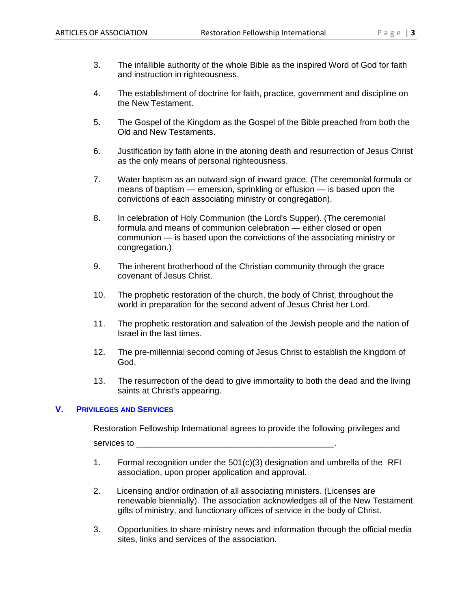- 3. The infallible authority of the whole Bible as the inspired Word of God for faith and instruction in righteousness.
- 4. The establishment of doctrine for faith, practice, government and discipline on the New Testament.
- 5. The Gospel of the Kingdom as the Gospel of the Bible preached from both the Old and New Testaments.
- 6. Justification by faith alone in the atoning death and resurrection of Jesus Christ as the only means of personal righteousness.
- 7. Water baptism as an outward sign of inward grace. (The ceremonial formula or means of baptism — emersion, sprinkling or effusion — is based upon the convictions of each associating ministry or congregation).
- 8. In celebration of Holy Communion (the Lord's Supper). (The ceremonial formula and means of communion celebration — either closed or open communion — is based upon the convictions of the associating ministry or congregation.)
- 9. The inherent brotherhood of the Christian community through the grace covenant of Jesus Christ.
- 10. The prophetic restoration of the church, the body of Christ, throughout the world in preparation for the second advent of Jesus Christ her Lord.
- 11. The prophetic restoration and salvation of the Jewish people and the nation of Israel in the last times.
- 12. The pre-millennial second coming of Jesus Christ to establish the kingdom of God.
- 13. The resurrection of the dead to give immortality to both the dead and the living saints at Christ's appearing.

#### **V. PRIVILEGES AND SERVICES**

Restoration Fellowship International agrees to provide the following privileges and services to **with the services** of  $\mathcal{L}$ 

- 1. Formal recognition under the 501(c)(3) designation and umbrella of the RFI association, upon proper application and approval.
- 2. Licensing and/or ordination of all associating ministers. (Licenses are renewable biennially). The association acknowledges all of the New Testament gifts of ministry, and functionary offices of service in the body of Christ.
- 3. Opportunities to share ministry news and information through the official media sites, links and services of the association.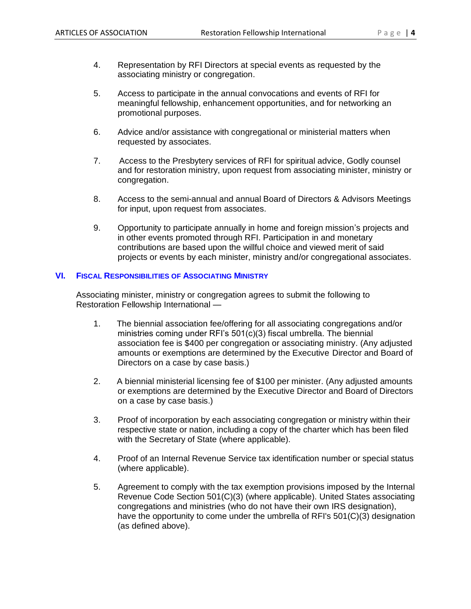- 4. Representation by RFI Directors at special events as requested by the associating ministry or congregation.
- 5. Access to participate in the annual convocations and events of RFI for meaningful fellowship, enhancement opportunities, and for networking an promotional purposes.
- 6. Advice and/or assistance with congregational or ministerial matters when requested by associates.
- 7. Access to the Presbytery services of RFI for spiritual advice, Godly counsel and for restoration ministry, upon request from associating minister, ministry or congregation.
- 8. Access to the semi-annual and annual Board of Directors & Advisors Meetings for input, upon request from associates.
- 9. Opportunity to participate annually in home and foreign mission's projects and in other events promoted through RFI. Participation in and monetary contributions are based upon the willful choice and viewed merit of said projects or events by each minister, ministry and/or congregational associates.

#### **VI. FISCAL RESPONSIBILITIES OF ASSOCIATING MINISTRY**

Associating minister, ministry or congregation agrees to submit the following to Restoration Fellowship International —

- 1. The biennial association fee/offering for all associating congregations and/or ministries coming under RFI's 501(c)(3) fiscal umbrella. The biennial association fee is \$400 per congregation or associating ministry. (Any adjusted amounts or exemptions are determined by the Executive Director and Board of Directors on a case by case basis.)
- 2. A biennial ministerial licensing fee of \$100 per minister. (Any adjusted amounts or exemptions are determined by the Executive Director and Board of Directors on a case by case basis.)
- 3. Proof of incorporation by each associating congregation or ministry within their respective state or nation, including a copy of the charter which has been filed with the Secretary of State (where applicable).
- 4. Proof of an Internal Revenue Service tax identification number or special status (where applicable).
- 5. Agreement to comply with the tax exemption provisions imposed by the Internal Revenue Code Section 501(C)(3) (where applicable). United States associating congregations and ministries (who do not have their own IRS designation), have the opportunity to come under the umbrella of RFI's 501(C)(3) designation (as defined above).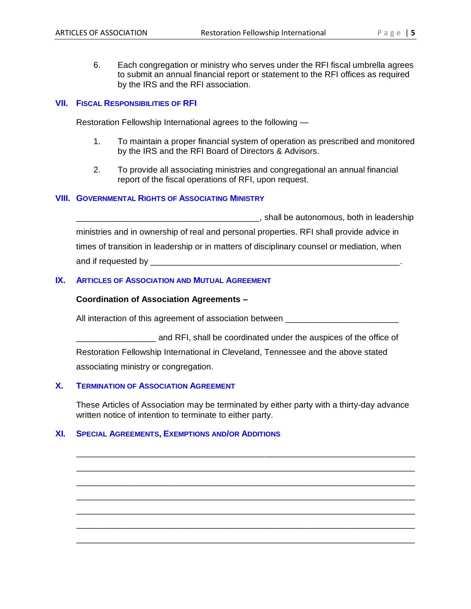6. Each congregation or ministry who serves under the RFI fiscal umbrella agrees to submit an annual financial report or statement to the RFI offices as required by the IRS and the RFI association.

#### **VII. FISCAL RESPONSIBILITIES OF RFI**

Restoration Fellowship International agrees to the following —

- 1. To maintain a proper financial system of operation as prescribed and monitored by the IRS and the RFI Board of Directors & Advisors.
- 2. To provide all associating ministries and congregational an annual financial report of the fiscal operations of RFI, upon request.

#### **VIII. GOVERNMENTAL RIGHTS OF ASSOCIATING MINISTRY**

\_\_\_\_\_\_\_\_\_\_\_\_\_\_\_\_\_\_\_\_\_\_\_\_\_\_\_\_\_\_\_\_\_\_\_\_\_\_\_, shall be autonomous, both in leadership ministries and in ownership of real and personal properties. RFI shall provide advice in times of transition in leadership or in matters of disciplinary counsel or mediation, when and if requested by \_\_\_\_\_\_\_\_\_\_\_\_\_\_\_\_\_\_\_\_\_\_\_\_\_\_\_\_\_\_\_\_\_\_\_\_\_\_\_\_\_\_\_\_\_\_\_\_\_\_\_\_\_.

#### **IX. ARTICLES OF ASSOCIATION AND MUTUAL AGREEMENT**

#### **Coordination of Association Agreements –**

All interaction of this agreement of association between

and RFI, shall be coordinated under the auspices of the office of Restoration Fellowship International in Cleveland, Tennessee and the above stated associating ministry or congregation.

#### **X. TERMINATION OF ASSOCIATION AGREEMENT**

These Articles of Association may be terminated by either party with a thirty-day advance written notice of intention to terminate to either party.

\_\_\_\_\_\_\_\_\_\_\_\_\_\_\_\_\_\_\_\_\_\_\_\_\_\_\_\_\_\_\_\_\_\_\_\_\_\_\_\_\_\_\_\_\_\_\_\_\_\_\_\_\_\_\_\_\_\_\_\_\_\_\_\_\_\_\_\_\_\_\_\_ \_\_\_\_\_\_\_\_\_\_\_\_\_\_\_\_\_\_\_\_\_\_\_\_\_\_\_\_\_\_\_\_\_\_\_\_\_\_\_\_\_\_\_\_\_\_\_\_\_\_\_\_\_\_\_\_\_\_\_\_\_\_\_\_\_\_\_\_\_\_\_\_ \_\_\_\_\_\_\_\_\_\_\_\_\_\_\_\_\_\_\_\_\_\_\_\_\_\_\_\_\_\_\_\_\_\_\_\_\_\_\_\_\_\_\_\_\_\_\_\_\_\_\_\_\_\_\_\_\_\_\_\_\_\_\_\_\_\_\_\_\_\_\_\_ \_\_\_\_\_\_\_\_\_\_\_\_\_\_\_\_\_\_\_\_\_\_\_\_\_\_\_\_\_\_\_\_\_\_\_\_\_\_\_\_\_\_\_\_\_\_\_\_\_\_\_\_\_\_\_\_\_\_\_\_\_\_\_\_\_\_\_\_\_\_\_\_ \_\_\_\_\_\_\_\_\_\_\_\_\_\_\_\_\_\_\_\_\_\_\_\_\_\_\_\_\_\_\_\_\_\_\_\_\_\_\_\_\_\_\_\_\_\_\_\_\_\_\_\_\_\_\_\_\_\_\_\_\_\_\_\_\_\_\_\_\_\_\_\_ \_\_\_\_\_\_\_\_\_\_\_\_\_\_\_\_\_\_\_\_\_\_\_\_\_\_\_\_\_\_\_\_\_\_\_\_\_\_\_\_\_\_\_\_\_\_\_\_\_\_\_\_\_\_\_\_\_\_\_\_\_\_\_\_\_\_\_\_\_\_\_\_ \_\_\_\_\_\_\_\_\_\_\_\_\_\_\_\_\_\_\_\_\_\_\_\_\_\_\_\_\_\_\_\_\_\_\_\_\_\_\_\_\_\_\_\_\_\_\_\_\_\_\_\_\_\_\_\_\_\_\_\_\_\_\_\_\_\_\_\_\_\_\_\_

#### **XI. SPECIAL AGREEMENTS, EXEMPTIONS AND/OR ADDITIONS**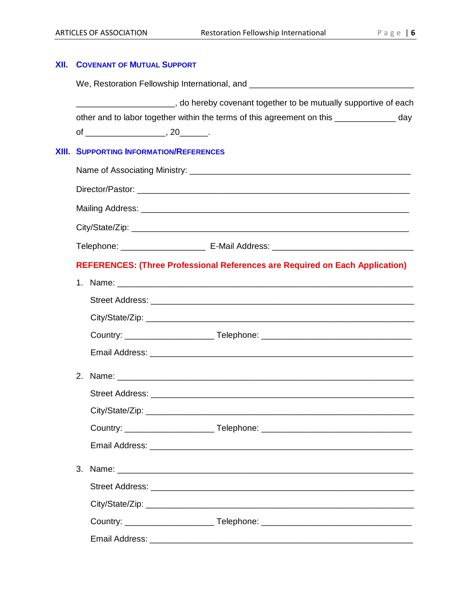## **XII. COVENANT OF MUTUAL SUPPORT** We, Restoration Fellowship International, and \_\_\_\_\_\_\_\_\_\_\_\_\_\_\_\_\_\_\_\_\_\_\_\_\_\_\_\_\_\_\_\_\_\_  $\_\_$ , do hereby covenant together to be mutually supportive of each other and to labor together within the terms of this agreement on this \_\_\_\_\_\_\_\_\_\_\_\_\_ day of \_\_\_\_\_\_\_\_\_\_\_\_\_\_\_\_\_\_\_\_\_, 20\_\_\_\_\_\_\_. **XIII. SUPPORTING INFORMATION/REFERENCES** Name of Associating Ministry: \_\_\_\_\_\_\_\_\_\_\_\_\_\_\_\_\_\_\_\_\_\_\_\_\_\_\_\_\_\_\_\_\_\_\_\_\_\_\_\_\_\_\_\_\_\_\_ Director/Pastor: \_\_\_\_\_\_\_\_\_\_\_\_\_\_\_\_\_\_\_\_\_\_\_\_\_\_\_\_\_\_\_\_\_\_\_\_\_\_\_\_\_\_\_\_\_\_\_\_\_\_\_\_\_\_\_\_\_\_ Mailing Address: **With a structure of the structure of the structure of the structure of the structure of the structure of the structure of the structure of the structure of the structure of the structure of the structure** City/State/Zip: \_\_\_\_\_\_\_\_\_\_\_\_\_\_\_\_\_\_\_\_\_\_\_\_\_\_\_\_\_\_\_\_\_\_\_\_\_\_\_\_\_\_\_\_\_\_\_\_\_\_\_\_\_\_\_\_\_\_\_ Telephone: \_\_\_\_\_\_\_\_\_\_\_\_\_\_\_\_\_\_\_\_\_\_\_\_\_\_ E-Mail Address: \_\_\_\_\_\_\_\_\_\_\_\_\_\_\_\_\_\_\_\_\_\_\_\_\_\_\_ **REFERENCES: (Three Professional References are Required on Each Application)** 1. Name:  $\blacksquare$ Street Address: **Example 2018**  City/State/Zip: \_\_\_\_\_\_\_\_\_\_\_\_\_\_\_\_\_\_\_\_\_\_\_\_\_\_\_\_\_\_\_\_\_\_\_\_\_\_\_\_\_\_\_\_\_\_\_\_\_\_\_\_\_\_\_\_\_ Country: \_\_\_\_\_\_\_\_\_\_\_\_\_\_\_\_\_\_\_ Telephone: \_\_\_\_\_\_\_\_\_\_\_\_\_\_\_\_\_\_\_\_\_\_\_\_\_\_\_\_\_\_\_\_ Email Address: \_\_\_\_\_\_\_\_\_\_\_\_\_\_\_\_\_\_\_\_\_\_\_\_\_\_\_\_\_\_\_\_\_\_\_\_\_\_\_\_\_\_\_\_\_\_\_\_\_\_\_\_\_\_\_\_ 2. Name: \_\_\_\_\_\_\_\_\_\_\_\_\_\_\_\_\_\_\_\_\_\_\_\_\_\_\_\_\_\_\_\_\_\_\_\_\_\_\_\_\_\_\_\_\_\_\_\_\_\_\_\_\_\_\_\_\_\_\_\_\_\_\_ Street Address: **Example 2018** City/State/Zip: **with the set of the set of the set of the set of the set of the set of the set of the set of the set of the set of the set of the set of the set of the set of the set of the set of the set of the set of th**  Country: \_\_\_\_\_\_\_\_\_\_\_\_\_\_\_\_\_\_\_ Telephone: \_\_\_\_\_\_\_\_\_\_\_\_\_\_\_\_\_\_\_\_\_\_\_\_\_\_\_\_\_\_\_\_ Email Address: 3. Name: \_\_\_\_\_\_\_\_\_\_\_\_\_\_\_\_\_\_\_\_\_\_\_\_\_\_\_\_\_\_\_\_\_\_\_\_\_\_\_\_\_\_\_\_\_\_\_\_\_\_\_\_\_\_\_\_\_\_\_\_\_\_\_ Street Address: \_\_\_\_\_\_\_\_\_\_\_\_\_\_\_\_\_\_\_\_\_\_\_\_\_\_\_\_\_\_\_\_\_\_\_\_\_\_\_\_\_\_\_\_\_\_\_\_\_\_\_\_\_\_\_\_ City/State/Zip: Country: \_\_\_\_\_\_\_\_\_\_\_\_\_\_\_\_\_\_\_ Telephone: \_\_\_\_\_\_\_\_\_\_\_\_\_\_\_\_\_\_\_\_\_\_\_\_\_\_\_\_\_\_\_\_ Email Address: \_\_\_\_\_\_\_\_\_\_\_\_\_\_\_\_\_\_\_\_\_\_\_\_\_\_\_\_\_\_\_\_\_\_\_\_\_\_\_\_\_\_\_\_\_\_\_\_\_\_\_\_\_\_\_\_